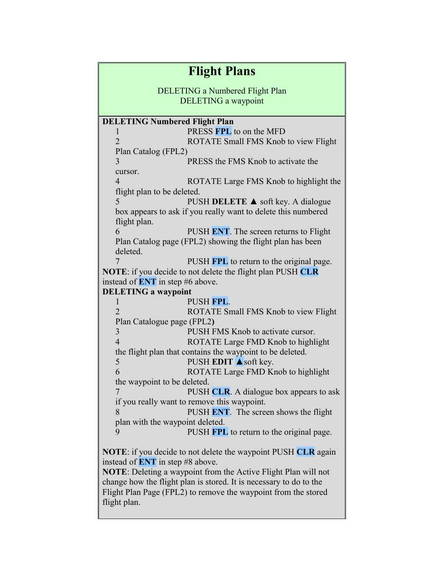| <b>Flight Plans</b>                                                                                          |                                                               |
|--------------------------------------------------------------------------------------------------------------|---------------------------------------------------------------|
| <b>DELETING a Numbered Flight Plan</b><br><b>DELETING</b> a waypoint                                         |                                                               |
| <b>DELETING Numbered Flight Plan</b>                                                                         |                                                               |
| $\mathbf{I}$                                                                                                 | PRESS FPL to on the MFD                                       |
| $\overline{2}$                                                                                               | ROTATE Small FMS Knob to view Flight                          |
| Plan Catalog (FPL2)                                                                                          |                                                               |
| 3                                                                                                            | PRESS the FMS Knob to activate the                            |
| cursor.                                                                                                      |                                                               |
| $\overline{4}$                                                                                               | ROTATE Large FMS Knob to highlight the                        |
| flight plan to be deleted.                                                                                   |                                                               |
| 5                                                                                                            | PUSH DELETE $\triangle$ soft key. A dialogue                  |
|                                                                                                              | box appears to ask if you really want to delete this numbered |
| flight plan.                                                                                                 |                                                               |
| 6                                                                                                            | PUSH ENT. The screen returns to Flight                        |
| Plan Catalog page (FPL2) showing the flight plan has been                                                    |                                                               |
| deleted.                                                                                                     |                                                               |
|                                                                                                              | PUSH FPL to return to the original page.                      |
| <b>NOTE:</b> if you decide to not delete the flight plan PUSH CLR<br>instead of <b>ENT</b> in step #6 above. |                                                               |
| <b>DELETING a waypoint</b>                                                                                   |                                                               |
|                                                                                                              | PUSH FPL.                                                     |
| L<br>$\overline{2}$                                                                                          | ROTATE Small FMS Knob to view Flight                          |
| Plan Catalogue page (FPL2)                                                                                   |                                                               |
| 3                                                                                                            | PUSH FMS Knob to activate cursor.                             |
| $\overline{4}$                                                                                               | ROTATE Large FMD Knob to highlight                            |
|                                                                                                              | the flight plan that contains the waypoint to be deleted.     |
| 5                                                                                                            | PUSH EDIT $\triangle$ soft key.                               |
| 6                                                                                                            | ROTATE Large FMD Knob to highlight                            |
| the waypoint to be deleted.                                                                                  |                                                               |
| 7                                                                                                            | PUSH CLR. A dialogue box appears to ask                       |
|                                                                                                              | if you really want to remove this waypoint.                   |
| 8                                                                                                            | PUSH ENT. The screen shows the flight                         |
| plan with the waypoint deleted.                                                                              |                                                               |
| 9                                                                                                            | PUSH FPL to return to the original page.                      |
|                                                                                                              |                                                               |
| <b>NOTE:</b> if you decide to not delete the waypoint PUSH CLR again                                         |                                                               |
| instead of <b>ENT</b> in step #8 above.                                                                      |                                                               |
| <b>NOTE:</b> Deleting a waypoint from the Active Flight Plan will not                                        |                                                               |
| change how the flight plan is stored. It is necessary to do to the                                           |                                                               |
| Flight Plan Page (FPL2) to remove the waypoint from the stored                                               |                                                               |
| flight plan.                                                                                                 |                                                               |